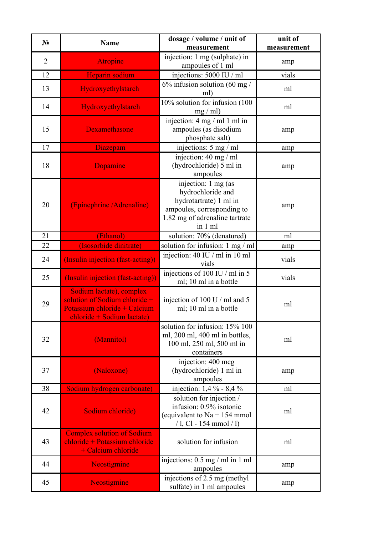| $N_2$          | <b>Name</b>                                                                                                               | dosage / volume / unit of                                                                                                                     | unit of     |
|----------------|---------------------------------------------------------------------------------------------------------------------------|-----------------------------------------------------------------------------------------------------------------------------------------------|-------------|
|                |                                                                                                                           | measurement                                                                                                                                   | measurement |
| $\overline{2}$ | <b>Atropine</b>                                                                                                           | injection: 1 mg (sulphate) in<br>ampoules of 1 ml                                                                                             | amp         |
| 12             | Heparin sodium                                                                                                            | injections: 5000 IU / ml                                                                                                                      | vials       |
| 13             | Hydroxyethylstarch                                                                                                        | 6% infusion solution (60 mg /<br>ml)                                                                                                          | ml          |
| 14             | Hydroxyethylstarch                                                                                                        | 10% solution for infusion (100<br>mg / ml                                                                                                     | ml          |
| 15             | <b>Dexamethasone</b>                                                                                                      | injection: 4 mg / ml 1 ml in<br>ampoules (as disodium<br>phosphate salt)                                                                      | amp         |
| 17             | <b>Diazepam</b>                                                                                                           | injections: 5 mg / ml                                                                                                                         | amp         |
| 18             | <b>Dopamine</b>                                                                                                           | injection: 40 mg / ml<br>(hydrochloride) 5 ml in<br>ampoules                                                                                  | amp         |
| 20             | (Epinephrine / Adrenaline)                                                                                                | injection: 1 mg (as<br>hydrochloride and<br>hydrotartrate) 1 ml in<br>ampoules, corresponding to<br>1.82 mg of adrenaline tartrate<br>in 1 ml | amp         |
| 21             | (Ethanol)                                                                                                                 | solution: 70% (denatured)                                                                                                                     | ml          |
| 22             | (Isosorbide dinitrate)                                                                                                    | solution for infusion: 1 mg / ml                                                                                                              | amp         |
| 24             | (Insulin injection (fast-acting))                                                                                         | injection: 40 IU / ml in 10 ml<br>vials                                                                                                       | vials       |
| 25             | (Insulin injection (fast-acting))                                                                                         | injections of 100 IU / ml in 5<br>ml; 10 ml in a bottle                                                                                       | vials       |
| 29             | Sodium lactate), complex<br>solution of Sodium chloride $+$<br>Potassium chloride + Calcium<br>chloride + Sodium lactate) | injection of 100 U / ml and 5<br>ml; 10 ml in a bottle                                                                                        | ml          |
| 32             | (Mannitol)                                                                                                                | solution for infusion: 15% 100<br>ml, 200 ml, 400 ml in bottles,<br>100 ml, 250 ml, 500 ml in<br>containers                                   | ml          |
| 37             | (Naloxone)                                                                                                                | injection: 400 mcg<br>(hydrochloride) 1 ml in<br>ampoules                                                                                     | amp         |
| 38             | Sodium hydrogen carbonate)                                                                                                | injection: 1,4 % - 8,4 %                                                                                                                      | ml          |
| 42             | Sodium chloride)                                                                                                          | solution for injection /<br>infusion: 0.9% isotonic<br>(equivalent to $Na + 154$ mmol<br>/ 1, Cl - 154 mmol / l)                              | ml          |
| 43             | <b>Complex solution of Sodium</b><br>chloride + Potassium chloride<br>+ Calcium chloride                                  | solution for infusion                                                                                                                         | ml          |
| 44             | Neostigmine                                                                                                               | injections: 0.5 mg / ml in 1 ml<br>ampoules                                                                                                   | amp         |
| 45             | <b>Neostigmine</b>                                                                                                        | injections of 2.5 mg (methyl<br>sulfate) in 1 ml ampoules                                                                                     | amp         |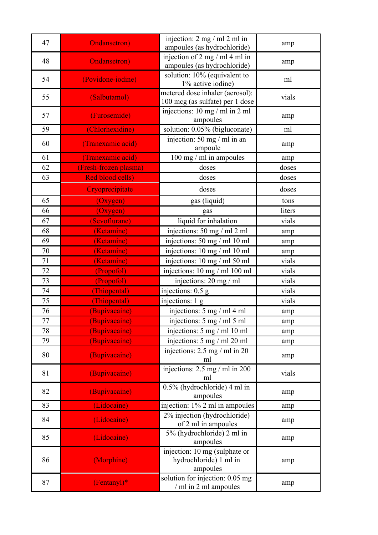| 47 | <b>Ondansetron</b> )    | injection: $2 \text{ mg } / \text{ ml } 2 \text{ ml in}$<br>ampoules (as hydrochloride) | amp    |
|----|-------------------------|-----------------------------------------------------------------------------------------|--------|
| 48 | <b>Ondansetron</b> )    | injection of 2 mg / ml 4 ml in<br>ampoules (as hydrochloride)                           | amp    |
| 54 | (Povidone-iodine)       | solution: 10% (equivalent to<br>1% active iodine)                                       | ml     |
| 55 | (Salbutamol)            | metered dose inhaler (aerosol):<br>100 mcg (as sulfate) per 1 dose                      | vials  |
| 57 | (Furosemide)            | injections: 10 mg / ml in 2 ml<br>ampoules                                              | amp    |
| 59 | (Chlorhexidine)         | solution: 0.05% (bigluconate)                                                           | ml     |
| 60 | (Tranexamic acid)       | injection: 50 mg / ml in an<br>ampoule                                                  | amp    |
| 61 | (Tranexamic acid)       | 100 mg / ml in ampoules                                                                 | amp    |
| 62 | (Fresh-frozen plasma)   | doses                                                                                   | doses  |
| 63 | <b>Red blood cells)</b> | doses                                                                                   | doses  |
|    | Cryoprecipitate         | doses                                                                                   | doses  |
| 65 | (Oxygen)                | gas (liquid)                                                                            | tons   |
| 66 | (Oxygen)                | gas                                                                                     | liters |
| 67 | (Sevoflurane)           | liquid for inhalation                                                                   | vials  |
| 68 | (Ketamine)              | injections: 50 mg / ml 2 ml                                                             | amp    |
| 69 | (Ketamine)              | injections: 50 mg / ml 10 ml                                                            | amp    |
| 70 | (Ketamine)              | injections: 10 mg / ml 10 ml                                                            | amp    |
| 71 | (Ketamine)              | injections: 10 mg / ml 50 ml                                                            | vials  |
| 72 | (Propofol)              | injections: 10 mg / ml 100 ml                                                           | vials  |
| 73 | (Propofol)              | injections: 20 mg / ml                                                                  | vials  |
| 74 | (Thiopental)            | injections: 0.5 g                                                                       | vials  |
| 75 | (Thiopental)            | injections: 1 g                                                                         | vials  |
| 76 | (Bupivacaine)           | injections: 5 mg / ml 4 ml                                                              | amp    |
| 77 | (Bupivacaine)           | injections: $5 \text{ mg} / \text{ml} 5 \text{ ml}$                                     | amp    |
| 78 | (Bupivacaine)           | injections: 5 mg / ml 10 ml                                                             | amp    |
| 79 | (Bupivacaine)           | injections: 5 mg / ml 20 ml                                                             | amp    |
| 80 | (Bupivacaine)           | injections: $2.5 \text{ mg} / \text{ml}$ in $20$<br>ml                                  | amp    |
| 81 | (Bupivacaine)           | injections: $2.5 \text{ mg} / \text{ml}$ in 200<br>ml                                   | vials  |
| 82 | (Bupivacaine)           | 0.5% (hydrochloride) 4 ml in<br>ampoules                                                | amp    |
| 83 | (Lidocaine)             | injection: 1% 2 ml in ampoules                                                          | amp    |
| 84 | (Lidocaine)             | 2% injection (hydrochloride)<br>of 2 ml in ampoules                                     | amp    |
| 85 | (Lidocaine)             | 5% (hydrochloride) 2 ml in<br>ampoules                                                  | amp    |
| 86 | (Morphine)              | injection: 10 mg (sulphate or<br>hydrochloride) 1 ml in<br>ampoules                     | amp    |
| 87 | $(Fentany!)^*$          | solution for injection: 0.05 mg<br>/ ml in 2 ml ampoules                                | amp    |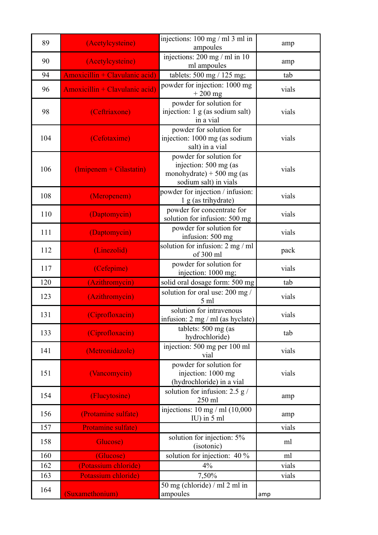| 89  | (Acetylcysteine)               | injections: $100 \text{ mg/m}$ 1 3 ml in<br>ampoules                                                   | amp   |
|-----|--------------------------------|--------------------------------------------------------------------------------------------------------|-------|
| 90  | (Acetylcysteine)               | injections: $200 \text{ mg/m}$ in 10<br>ml ampoules                                                    | amp   |
| 94  | Amoxicillin + Clavulanic acid) | tablets: 500 mg / 125 mg;                                                                              | tab   |
| 96  | Amoxicillin + Clavulanic acid) | powder for injection: 1000 mg<br>$+200$ mg                                                             | vials |
| 98  | (Ceftriaxone)                  | powder for solution for<br>injection: 1 g (as sodium salt)<br>in a vial                                | vials |
| 104 | (Cefotaxime)                   | powder for solution for<br>injection: 1000 mg (as sodium<br>salt) in a vial                            | vials |
| 106 | (Imipenem + Cilastatin)        | powder for solution for<br>injection: 500 mg (as<br>monohydrate) + 500 mg (as<br>sodium salt) in vials | vials |
| 108 | (Meropenem)                    | powder for injection / infusion:<br>1 g (as trihydrate)                                                | vials |
| 110 | (Daptomycin)                   | powder for concentrate for<br>solution for infusion: 500 mg                                            | vials |
| 111 | (Daptomycin)                   | powder for solution for<br>infusion: 500 mg                                                            | vials |
| 112 | (Linezolid)                    | solution for infusion: 2 mg / ml<br>of 300 ml                                                          | pack  |
| 117 | (Cefepime)                     | powder for solution for<br>injection: 1000 mg;                                                         | vials |
| 120 | (Azithromycin)                 | solid oral dosage form: 500 mg                                                                         | tab   |
| 123 | (Azithromycin)                 | solution for oral use: 200 mg /<br>5 <sub>ml</sub>                                                     | vials |
| 131 | (Ciprofloxacin)                | solution for intravenous<br>infusion: 2 mg / ml (as hyclate)                                           | vials |
| 133 | (Ciprofloxacin)                | tablets: 500 mg (as<br>hydrochloride)                                                                  | tab   |
| 141 | (Metronidazole)                | injection: 500 mg per 100 ml<br>vial                                                                   | vials |
| 151 | (Vancomycin)                   | powder for solution for<br>injection: 1000 mg<br>(hydrochloride) in a vial                             | vials |
| 154 | (Flucytosine)                  | solution for infusion: $2.5 g/$<br>250 ml                                                              | amp   |
| 156 | (Protamine sulfate)            | injections: $10 \text{ mg/m}$ (10,000<br>IU) in 5 ml                                                   | amp   |
| 157 | Protamine sulfate)             |                                                                                                        | vials |
| 158 | Glucose)                       | solution for injection: 5%<br>(isotonic)                                                               | ml    |
| 160 | (Glucose)                      | solution for injection: 40 %                                                                           | ml    |
| 162 | (Potassium chloride)           | 4%                                                                                                     | vials |
| 163 | Potassium chloride)            | 7,50%                                                                                                  | vials |
| 164 | (Suxamethonium)                | 50 mg (chloride) / ml 2 ml in<br>ampoules                                                              | amp   |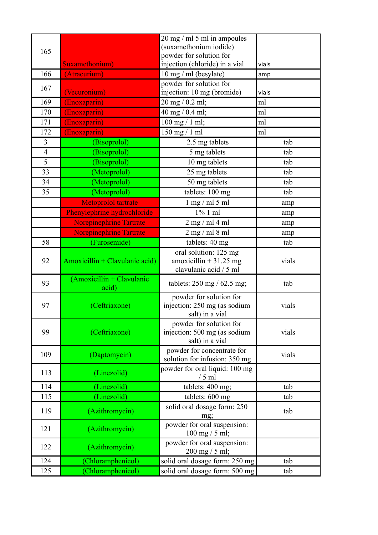|                         |                                    | $20 \text{ mg}$ / ml 5 ml in ampoules          |       |
|-------------------------|------------------------------------|------------------------------------------------|-------|
| 165                     |                                    | (suxamethonium iodide)                         |       |
|                         |                                    | powder for solution for                        |       |
|                         | Suxamethonium)                     | injection (chloride) in a vial                 | vials |
| 166                     | (Atracurium)                       | $10$ mg / ml (besylate)                        | amp   |
| 167                     |                                    | powder for solution for                        |       |
|                         | (Vecuronium)                       | injection: 10 mg (bromide)                     | vials |
| 169                     | (Enoxaparin)                       | 20 mg / 0.2 ml;                                | ml    |
| 170                     | (Enoxaparin)                       | 40 mg / 0.4 ml;                                | ml    |
| 171                     | (Enoxaparin)                       | $100$ mg $/ 1$ ml;                             | ml    |
| 172                     | (Enoxaparin)                       | $150$ mg $/ 1$ ml                              | ml    |
| $\overline{\mathbf{3}}$ | (Bisoprolol)                       | 2.5 mg tablets                                 | tab   |
| $\overline{4}$          | (Bisoprolol)                       | 5 mg tablets                                   | tab   |
| $\overline{5}$          | (Bisoprolol)                       | 10 mg tablets                                  | tab   |
| 33                      | (Metoprolol)                       | 25 mg tablets                                  | tab   |
| 34                      | (Metoprolol)                       | 50 mg tablets                                  | tab   |
| 35                      | (Metoprolol)                       | tablets: 100 mg                                | tab   |
|                         | Metoprolol tartrate                | $1$ mg $/$ ml $5$ ml                           | amp   |
|                         | Phenylephrine hydrochloride        | $1\%$ 1 ml                                     | amp   |
|                         | <b>Norepinephrine Tartrate</b>     | $2$ mg / ml 4 ml                               | amp   |
|                         | <b>Norepinephrine Tartrate</b>     | $2$ mg / ml 8 ml                               | amp   |
| 58                      | (Furosemide)                       | tablets: 40 mg                                 | tab   |
|                         |                                    | oral solution: 125 mg                          |       |
| 92                      | Amoxicillin + Clavulanic acid)     | amoxicillin + $31.25$ mg                       | vials |
|                         |                                    | clavulanic acid / 5 ml                         |       |
| 93                      | (Amoxicillin + Clavulanic<br>acid) | tablets: $250 \text{ mg} / 62.5 \text{ mg}$ ;  | tab   |
|                         |                                    | powder for solution for                        |       |
| 97                      | (Ceftriaxone)                      | injection: 250 mg (as sodium                   | vials |
|                         |                                    | salt) in a vial                                |       |
|                         |                                    | powder for solution for                        |       |
| 99                      | (Ceftriaxone)                      | injection: 500 mg (as sodium                   | vials |
|                         |                                    | salt) in a vial                                |       |
| 109                     | (Daptomycin)                       | powder for concentrate for                     | vials |
|                         |                                    | solution for infusion: 350 mg                  |       |
| 113                     | (Linezolid)                        | powder for oral liquid: 100 mg<br>$/5$ ml      |       |
| 114                     | (Linezolid)                        | tablets: 400 mg;                               | tab   |
| 115                     | (Linezolid)                        |                                                | tab   |
|                         |                                    | tablets: 600 mg<br>solid oral dosage form: 250 |       |
| 119                     | (Azithromycin)                     | mg;                                            | tab   |
|                         |                                    | powder for oral suspension:                    |       |
| 121                     | (Azithromycin)                     | $100$ mg $/ 5$ ml;                             |       |
|                         |                                    | powder for oral suspension:                    |       |
| 122                     | (Azithromycin)                     | $200$ mg / 5 ml;                               |       |
| 124                     | (Chloramphenicol)                  | solid oral dosage form: 250 mg                 | tab   |
| 125                     | (Chloramphenicol)                  | solid oral dosage form: 500 mg                 | tab   |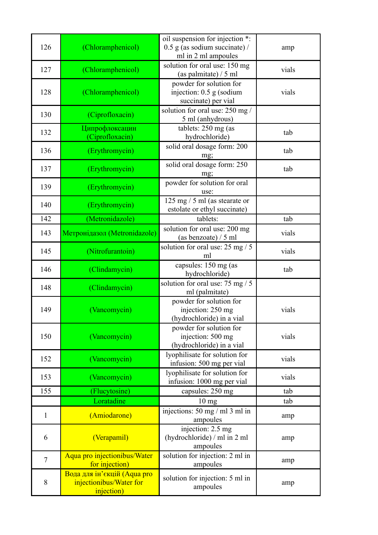| 126            | (Chloramphenicol)                                                    | oil suspension for injection *:<br>$0.5$ g (as sodium succinate) /<br>ml in 2 ml ampoules | amp   |
|----------------|----------------------------------------------------------------------|-------------------------------------------------------------------------------------------|-------|
| 127            | (Chloramphenicol)                                                    | solution for oral use: 150 mg<br>(as palmitate) / 5 ml                                    | vials |
| 128            | (Chloramphenicol)                                                    | powder for solution for<br>injection: $0.5$ g (sodium<br>succinate) per vial              | vials |
| 130            | (Ciprofloxacin)                                                      | solution for oral use: 250 mg/<br>5 ml (anhydrous)                                        |       |
| 132            | Ципрофлоксацин<br>(Ciprofloxacin)                                    | tablets: 250 mg (as<br>hydrochloride)                                                     | tab   |
| 136            | (Erythromycin)                                                       | solid oral dosage form: 200<br>mg;                                                        | tab   |
| 137            | (Erythromycin)                                                       | solid oral dosage form: 250<br>mg;                                                        | tab   |
| 139            | (Erythromycin)                                                       | powder for solution for oral<br>use:                                                      |       |
| 140            | (Erythromycin)                                                       | $125$ mg / 5 ml (as stearate or<br>estolate or ethyl succinate)                           |       |
| 142            | (Metronidazole)                                                      | tablets:                                                                                  | tab   |
| 143            | Метронідазол (Metronidazole)                                         | solution for oral use: 200 mg<br>(as benzoate) $/5$ ml                                    | vials |
| 145            | (Nitrofurantoin)                                                     | solution for oral use: 25 mg / 5<br>ml                                                    | vials |
| 146            | (Clindamycin)                                                        | capsules: 150 mg (as<br>hydrochloride)                                                    | tab   |
| 148            | (Clindamycin)                                                        | solution for oral use: 75 mg / 5<br>ml (palmitate)                                        |       |
| 149            | (Vancomycin)                                                         | powder for solution for<br>injection: 250 mg<br>(hydrochloride) in a vial                 | vials |
| 150            | (Vancomycin)                                                         | powder for solution for<br>injection: 500 mg<br>(hydrochloride) in a vial                 | vials |
| 152            | (Vancomycin)                                                         | lyophilisate for solution for<br>infusion: 500 mg per vial                                | vials |
| 153            | (Vancomycin)                                                         | lyophilisate for solution for<br>infusion: 1000 mg per vial                               | vials |
| 155            | (Flucytosine)                                                        | capsules: 250 mg                                                                          | tab   |
|                | Loratadine                                                           | 10 <sub>mg</sub>                                                                          | tab   |
| $\mathbf{1}$   | (Amiodarone)                                                         | injections: $50 \text{ mg/m}$ 1 3 ml in<br>ampoules                                       | amp   |
| 6              | (Verapamil)                                                          | injection: 2.5 mg<br>(hydrochloride) / ml in 2 ml<br>ampoules                             | amp   |
| $\overline{7}$ | Aqua pro injectionibus/Water<br>for injection)                       | solution for injection: 2 ml in<br>ampoules                                               | amp   |
| 8              | Вода для ін'єкцій (Aqua pro<br>injectionibus/Water for<br>injection) | solution for injection: 5 ml in<br>ampoules                                               | amp   |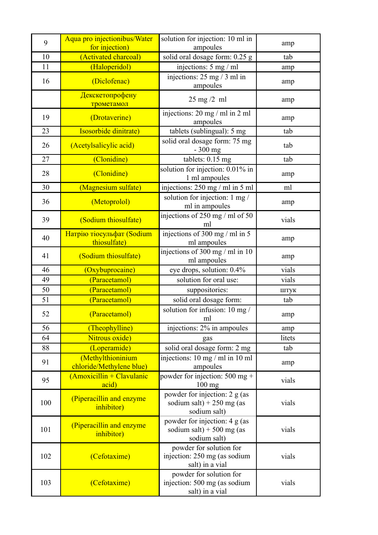| 9   | Aqua pro injectionibus/Water                  | solution for injection: 10 ml in                                              | amp    |
|-----|-----------------------------------------------|-------------------------------------------------------------------------------|--------|
|     | for injection)                                | ampoules                                                                      |        |
| 10  | (Activated charcoal)                          | solid oral dosage form: 0.25 g                                                | tab    |
| 11  | (Haloperidol)                                 | injections: 5 mg / ml                                                         | amp    |
| 16  | (Diclofenac)                                  | injections: 25 mg / 3 ml in<br>ampoules                                       | amp    |
|     | Декскетопрофену<br>трометамол                 | $25 \text{ mg}/2 \text{ ml}$                                                  | amp    |
| 19  | (Drotaverine)                                 | injections: $20 \text{ mg/m}$ in $2 \text{ ml}$<br>ampoules                   | amp    |
| 23  | Isosorbide dinitrate)                         | tablets (sublingual): 5 mg                                                    | tab    |
| 26  | (Acetylsalicylic acid)                        | solid oral dosage form: 75 mg<br>- 300 mg                                     | tab    |
| 27  | (Clonidine)                                   | tablets: $0.15$ mg                                                            | tab    |
| 28  | (Clonidine)                                   | solution for injection: 0.01% in<br>1 ml ampoules                             | amp    |
| 30  | (Magnesium sulfate)                           | injections: 250 mg / ml in 5 ml                                               | ml     |
| 36  | (Metoprolol)                                  | solution for injection: 1 mg /<br>ml in ampoules                              | amp    |
| 39  | (Sodium thiosulfate)                          | injections of 250 mg / ml of 50<br>ml                                         | vials  |
| 40  | Натрію тіосульфат (Sodium<br>thiosulfate)     | injections of 300 mg / ml in 5<br>ml ampoules                                 | amp    |
| 41  | (Sodium thiosulfate)                          | injections of 300 mg / ml in 10<br>ml ampoules                                | amp    |
| 46  | (Oxybuprocaine)                               | eye drops, solution: 0.4%                                                     | vials  |
| 49  | (Paracetamol)                                 | solution for oral use:                                                        | vials  |
| 50  | (Paracetamol)                                 | suppositories:                                                                | штук   |
| 51  | (Paracetamol)                                 | solid oral dosage form:                                                       | tab    |
| 52  | (Paracetamol)                                 | solution for infusion: 10 mg /<br>ml                                          | amp    |
| 56  | (Theophylline)                                | injections: 2% in ampoules                                                    | amp    |
| 64  | Nitrous oxide)                                | gas                                                                           | litets |
| 88  | (Loperamide)                                  | solid oral dosage form: 2 mg                                                  | tab    |
| 91  | (Methylthioninium<br>chloride/Methylene blue) | injections: $10 \text{ mg}$ / ml in $10 \text{ ml}$<br>ampoules               | amp    |
| 95  | (Amoxicillin + Clavulanic<br>acid)            | powder for injection: 500 mg +<br>$100$ mg                                    | vials  |
| 100 | (Piperacillin and enzyme<br>inhibitor)        | powder for injection: $2 g (as)$<br>sodium salt) + 250 mg (as<br>sodium salt) | vials  |
| 101 | (Piperacillin and enzyme<br>inhibitor)        | powder for injection: 4 g (as<br>sodium salt) + 500 mg (as<br>sodium salt)    | vials  |
| 102 | (Cefotaxime)                                  | powder for solution for<br>injection: 250 mg (as sodium<br>salt) in a vial    | vials  |
| 103 | (Cefotaxime)                                  | powder for solution for<br>injection: 500 mg (as sodium<br>salt) in a vial    | vials  |